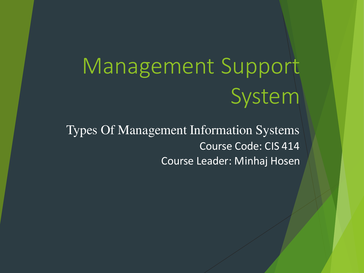# Management Support System

Types Of Management Information Systems Course Code: CIS 414 Course Leader: Minhaj Hosen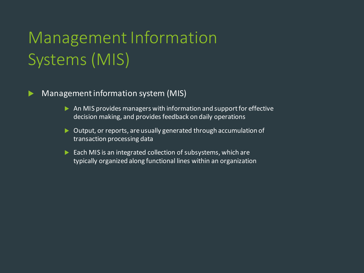# Management Information Systems (MIS)

#### **Management information system (MIS)**

- $\triangleright$  An MIS provides managers with information and support for effective decision making, and provides feedback on daily operations
- ▶ Output, or reports, are usually generated through accumulation of transaction processing data
- $\blacktriangleright$  Each MIS is an integrated collection of subsystems, which are typically organized along functional lines within an organization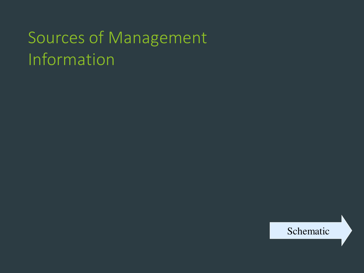# Sources of Management Information

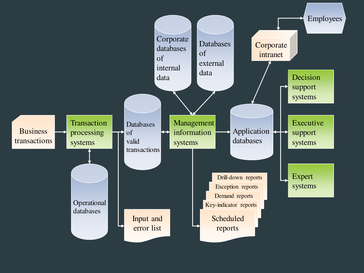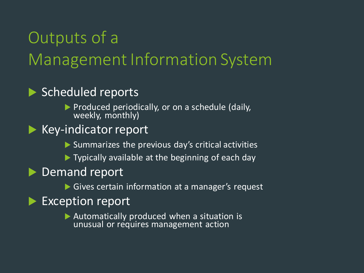# Outputs of a Management Information System

#### Scheduled reports

Produced periodically, or on a schedule (daily, weekly, monthly)

#### $\blacktriangleright$  Key-indicator report

- $\triangleright$  Summarizes the previous day's critical activities
- ▶ Typically available at the beginning of each day

#### **Demand report**

Gives certain information at a manager's request

#### Exception report

 Automatically produced when a situation is unusual or requires management action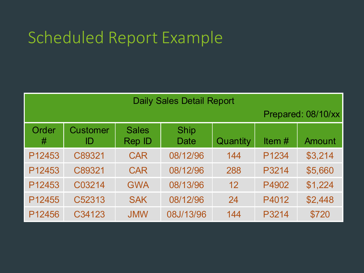# Scheduled Report Example

| <b>Daily Sales Detail Report</b> |                       |                        |                     |          |          |                    |
|----------------------------------|-----------------------|------------------------|---------------------|----------|----------|--------------------|
|                                  |                       |                        |                     |          |          | Prepared: 08/10/xx |
| Order<br>#                       | <b>Customer</b><br>ID | <b>Sales</b><br>Rep ID | <b>Ship</b><br>Date | Quantity | Item $#$ | Amount             |
| P12453                           | C89321                | <b>CAR</b>             | 08/12/96            | 144      | P1234    | \$3,214            |
| P12453                           | C89321                | <b>CAR</b>             | 08/12/96            | 288      | P3214    | \$5,660            |
| P12453                           | C03214                | <b>GWA</b>             | 08/13/96            | 12       | P4902    | \$1,224            |
| P12455                           | C52313                | <b>SAK</b>             | 08/12/96            | 24       | P4012    | \$2,448            |
| P12456                           | C34123                | <b>JMW</b>             | 08J/13/96           | 144      | P3214    | \$720              |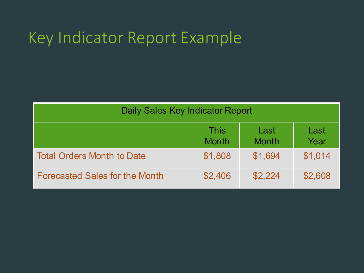# Key Indicator Report Example

| Daily Sales Key Indicator Report      |                             |                      |              |  |
|---------------------------------------|-----------------------------|----------------------|--------------|--|
|                                       | <b>This</b><br><b>Month</b> | Last<br><b>Month</b> | Last<br>Year |  |
| <b>Total Orders Month to Date</b>     | \$1,808                     | \$1,694              | \$1,014      |  |
| <b>Forecasted Sales for the Month</b> | \$2,406                     | \$2,224              | \$2,608      |  |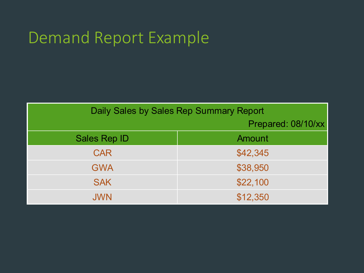# Demand Report Example

| Daily Sales by Sales Rep Summary Report |                    |  |  |  |
|-----------------------------------------|--------------------|--|--|--|
|                                         | Prepared: 08/10/xx |  |  |  |
| <b>Sales Rep ID</b>                     | Amount             |  |  |  |
| <b>CAR</b>                              | \$42,345           |  |  |  |
| <b>GWA</b>                              | \$38,950           |  |  |  |
| <b>SAK</b>                              | \$22,100           |  |  |  |
| <b>JWN</b>                              | \$12,350           |  |  |  |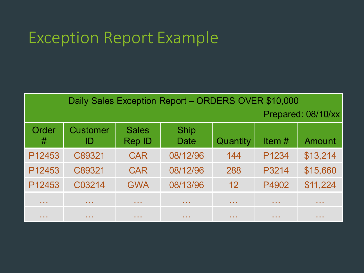## Exception Report Example

| Daily Sales Exception Report - ORDERS OVER \$10,000 |                       |                                            |                                            |                 |               |                                            |
|-----------------------------------------------------|-----------------------|--------------------------------------------|--------------------------------------------|-----------------|---------------|--------------------------------------------|
| Prepared: 08/10/xx                                  |                       |                                            |                                            |                 |               |                                            |
| Order<br>#                                          | <b>Customer</b><br>ID | <b>Sales</b><br>Rep ID                     | <b>Ship</b><br>Date                        | Quantity        | Item $#$      | Amount                                     |
| P12453                                              | C89321                | <b>CAR</b>                                 | 08/12/96                                   | 144             | P1234         | \$13,214                                   |
| P12453                                              | C89321                | <b>CAR</b>                                 | 08/12/96                                   | 288             | P3214         | \$15,660                                   |
| P12453                                              | C03214                | <b>GWA</b>                                 | 08/13/96                                   | 12              | P4902         | \$11,224                                   |
| <b>ALC: NO</b>                                      | <b>ALC: NO</b>        | $\mathbf{a}$ , $\mathbf{a}$ , $\mathbf{a}$ | $\mathbf{a}$ , $\mathbf{a}$ , $\mathbf{a}$ | <b>ALC: NO</b>  | <b>ALC: N</b> | $\mathbf{a}$ , $\mathbf{a}$ , $\mathbf{a}$ |
| <b>ALC: YES</b>                                     | <b>ALC: YES</b>       | $\mathbf{a}=\mathbf{a}+\mathbf{a}$         | <b>ALC: YES</b>                            | <b>ALC: YES</b> | <b>ALC: Y</b> | <b>ALC: YES</b>                            |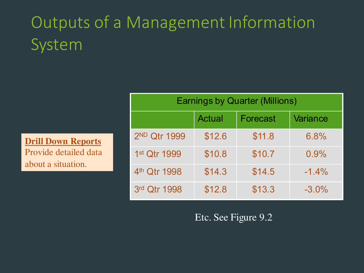# Outputs of a Management Information System

**Drill Down Reports**  Provide detailed data about a situation.

| <b>Earnings by Quarter (Millions)</b> |               |          |          |  |  |
|---------------------------------------|---------------|----------|----------|--|--|
|                                       | <b>Actual</b> | Forecast | Variance |  |  |
| 2 <sup>ND</sup> Qtr 1999              | \$12.6        | \$11.8   | 6.8%     |  |  |
| 1st Qtr 1999                          | \$10.8        | \$10.7   | 0.9%     |  |  |
| 4 <sup>th</sup> Qtr 1998              | \$14.3        | \$14.5   | $-1.4\%$ |  |  |
| 3rd Qtr 1998                          | \$12.8        | \$13.3   | $-3.0%$  |  |  |

Etc. See Figure 9.2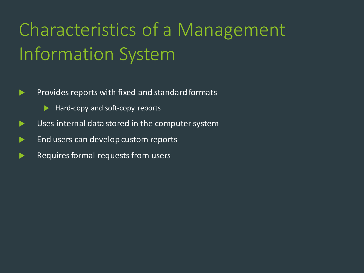# Characteristics of a Management Information System

- $\blacktriangleright$  Provides reports with fixed and standard formats
	- $\blacktriangleright$  Hard-copy and soft-copy reports
- Uses internal data stored in the computer system
- **End users can develop custom reports**
- Requires formal requests from users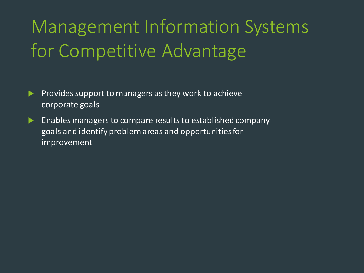# Management Information Systems for Competitive Advantage

- **Provides support to managers as they work to achieve** corporate goals
- $\blacktriangleright$  Enables managers to compare results to established company goals and identify problem areas and opportunities for improvement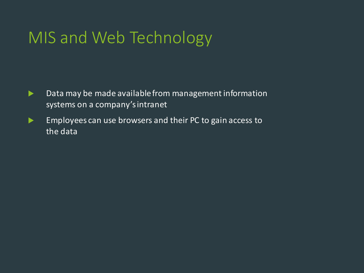# MIS and Web Technology

- **Data may be made available from management information** systems on a company's intranet
- Employees can use browsers and their PC to gain access to the data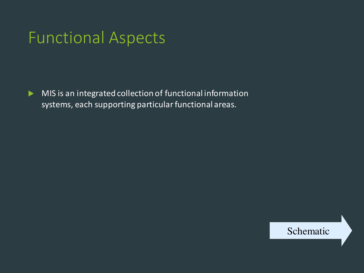## Functional Aspects

MIS is an integrated collection of functional information systems, each supporting particular functional areas.

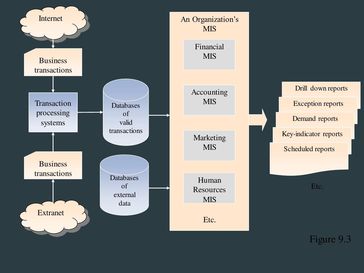

Figure 9.3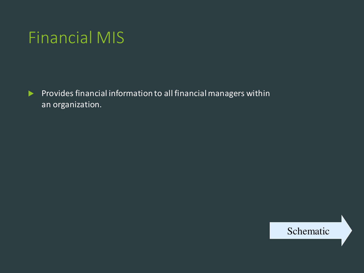## Financial MIS

Provides financial information to all financial managers within an organization.

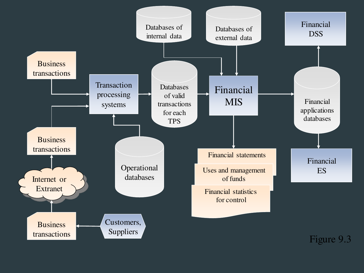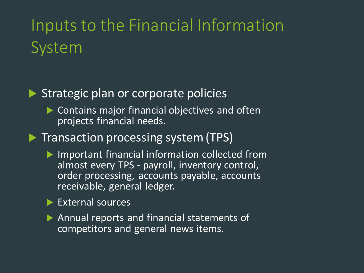# Inputs to the Financial Information System



#### Strategic plan or corporate policies

- ▶ Contains major financial objectives and often projects financial needs.
- **Transaction processing system (TPS)** 
	- Important financial information collected from almost every TPS - payroll, inventory control, order processing, accounts payable, accounts receivable, general ledger.

#### External sources

Annual reports and financial statements of competitors and general news items.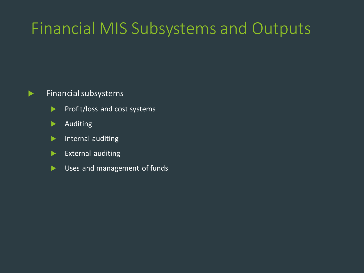# Financial MIS Subsystems and Outputs

#### $\blacktriangleright$  Financial subsystems

- Profit/loss and cost systems
- **Auditing**
- Internal auditing
- $\blacktriangleright$  External auditing
- Uses and management of funds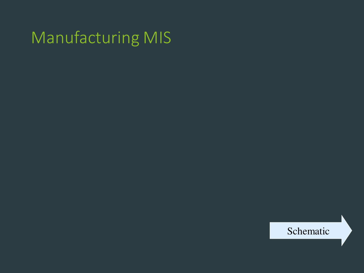# Manufacturing MIS

Schematic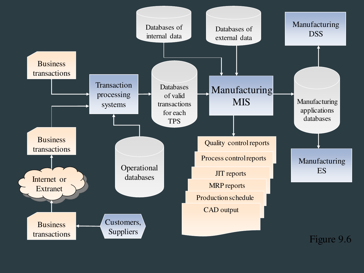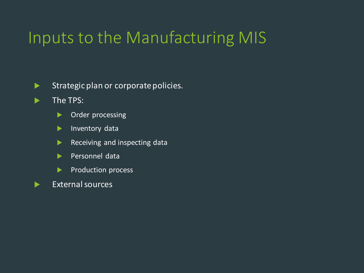## Inputs to the Manufacturing MIS

Strategic plan or corporate policies.

- **The TPS:** 
	- **Divided Processing**
	- Inventory data
	- Receiving and inspecting data
	- Personnel data
	- Production process
- $\blacktriangleright$  External sources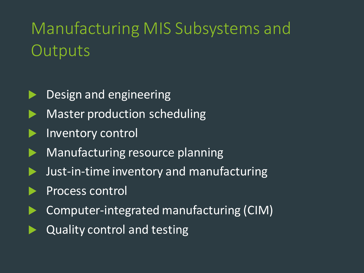# Manufacturing MIS Subsystems and **Outputs**

- Design and engineering
- Master production scheduling
- Inventory control
- Manufacturing resource planning
- Just-in-time inventory and manufacturing
- Process control
- Computer-integrated manufacturing (CIM)
- Quality control and testing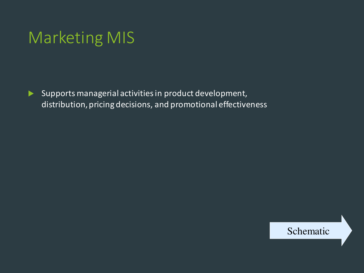## Marketing MIS

 $\blacktriangleright$  Supports managerial activities in product development, distribution, pricing decisions, and promotional effectiveness

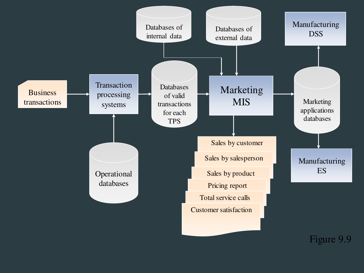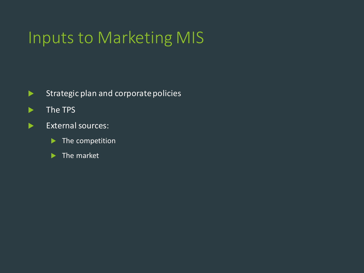## Inputs to Marketing MIS

- Strategic plan and corporate policies
- **The TPS**
- External sources:
	- **The competition**
	- $\blacktriangleright$  The market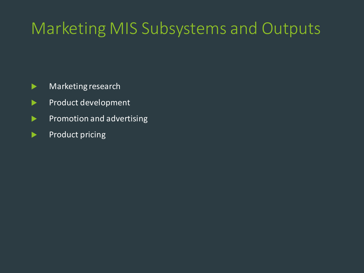# Marketing MIS Subsystems and Outputs

- **Marketing research**
- Product development
- Promotion and advertising
- Product pricing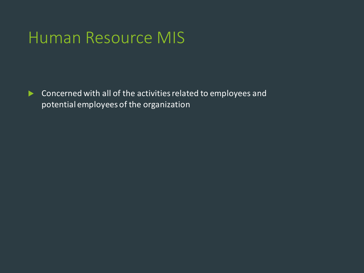### Human Resource MIS

**Concerned with all of the activities related to employees and** potential employees of the organization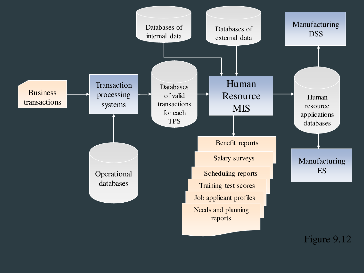

Figure 9.12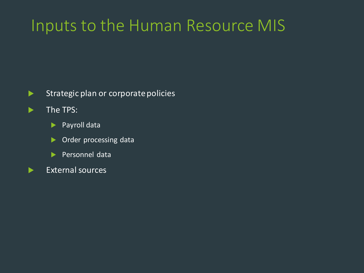### Inputs to the Human Resource MIS

- Strategic plan or corporate policies
- $\blacktriangleright$  The TPS:
	- ▶ Payroll data
	- **Dider processing data**
	- Personnel data
- External sources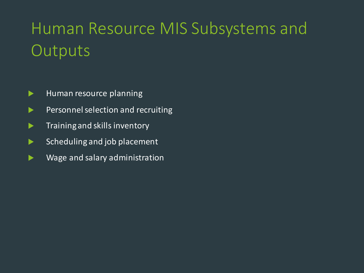# Human Resource MIS Subsystems and **Outputs**

- $\blacktriangleright$  Human resource planning
- Personnel selection and recruiting
- $\blacktriangleright$  Training and skills inventory
- $\blacktriangleright$  Scheduling and job placement
- **Nome 2018** Wage and salary administration